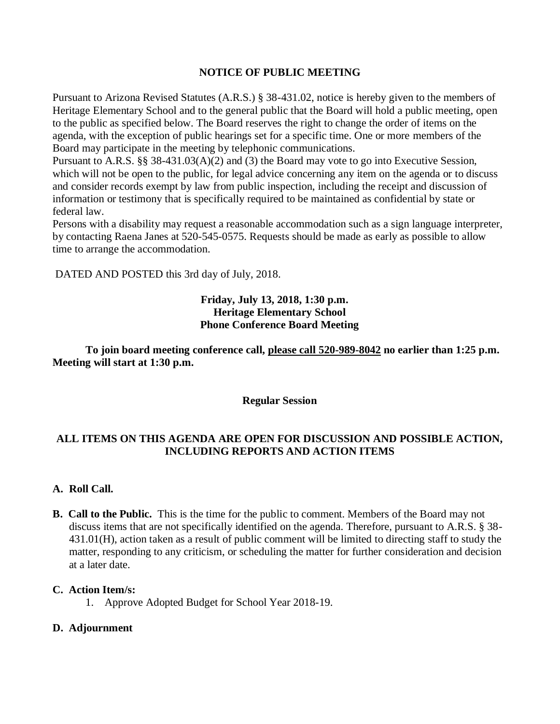## **NOTICE OF PUBLIC MEETING**

Pursuant to Arizona Revised Statutes (A.R.S.) § 38-431.02, notice is hereby given to the members of Heritage Elementary School and to the general public that the Board will hold a public meeting, open to the public as specified below. The Board reserves the right to change the order of items on the agenda, with the exception of public hearings set for a specific time. One or more members of the Board may participate in the meeting by telephonic communications.

Pursuant to A.R.S. §§ 38-431.03(A)(2) and (3) the Board may vote to go into Executive Session, which will not be open to the public, for legal advice concerning any item on the agenda or to discuss and consider records exempt by law from public inspection, including the receipt and discussion of information or testimony that is specifically required to be maintained as confidential by state or federal law.

Persons with a disability may request a reasonable accommodation such as a sign language interpreter, by contacting Raena Janes at 520-545-0575. Requests should be made as early as possible to allow time to arrange the accommodation.

DATED AND POSTED this 3rd day of July, 2018.

## **Friday, July 13, 2018, 1:30 p.m. Heritage Elementary School Phone Conference Board Meeting**

**To join board meeting conference call, please call 520-989-8042 no earlier than 1:25 p.m. Meeting will start at 1:30 p.m.**

**Regular Session**

# **ALL ITEMS ON THIS AGENDA ARE OPEN FOR DISCUSSION AND POSSIBLE ACTION, INCLUDING REPORTS AND ACTION ITEMS**

#### **A. Roll Call.**

**B. Call to the Public.** This is the time for the public to comment. Members of the Board may not discuss items that are not specifically identified on the agenda. Therefore, pursuant to A.R.S. § 38- 431.01(H), action taken as a result of public comment will be limited to directing staff to study the matter, responding to any criticism, or scheduling the matter for further consideration and decision at a later date.

#### **C. Action Item/s:**

1. Approve Adopted Budget for School Year 2018-19.

#### **D. Adjournment**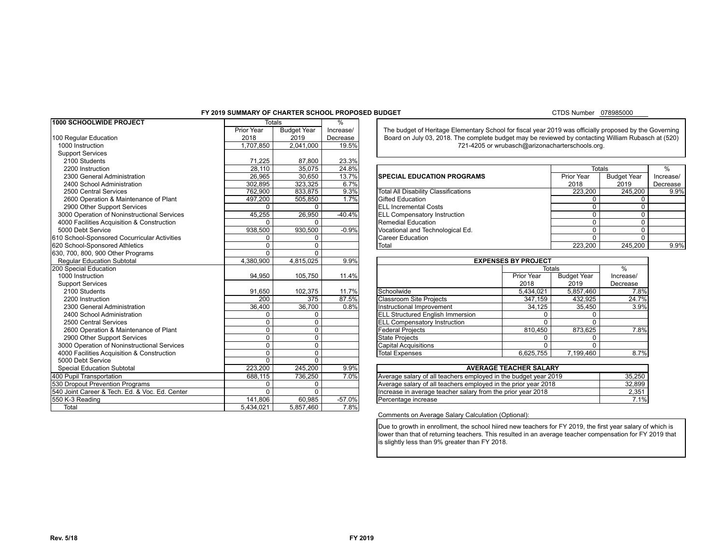#### **FY 2019 SUMMARY OF CHARTER SCHOOL PROPOSED BUDGET**

#### CTDS Number 078985000

| 1000 SCHOOLWIDE PROJECT                                 |              | <b>Totals</b>      | $\frac{9}{6}$ |                                                                                                        |                                                   |                  |               |  |  |
|---------------------------------------------------------|--------------|--------------------|---------------|--------------------------------------------------------------------------------------------------------|---------------------------------------------------|------------------|---------------|--|--|
|                                                         | Prior Year   | <b>Budget Year</b> | Increase/     | The budget of Heritage Elementary School for fiscal year 2019 was officially proposed by the Governing |                                                   |                  |               |  |  |
| 100 Regular Education                                   | 2018         | 2019               | Decrease      | Board on July 03, 2018. The complete budget may be reviewed by contacting William Rubasch at (520)     |                                                   |                  |               |  |  |
| 1000 Instruction                                        | 1,707,850    | 2.041.000          | 19.5%         | 721-4205 or wrubasch@arizonacharterschools.org.                                                        |                                                   |                  |               |  |  |
| <b>Support Services</b>                                 |              |                    |               |                                                                                                        |                                                   |                  |               |  |  |
| 2100 Students                                           | 71,225       | 87,800             | 23.3%         |                                                                                                        |                                                   |                  |               |  |  |
| 2200 Instruction                                        | 28,110       | 35,075             | 24.8%         | <b>Totals</b>                                                                                          |                                                   |                  |               |  |  |
| 2300 General Administration                             | 26,965       | 30,650             | 13.7%         | <b>SPECIAL EDUCATION PROGRAMS</b>                                                                      | <b>Budget Year</b>                                | Increase/        |               |  |  |
| 2400 School Administration                              | 302,895      | 323,325            | 6.7%          |                                                                                                        | Prior Year<br>2018                                |                  |               |  |  |
| 2500 Central Services                                   | 762,900      | 833,875            | 9.3%          | <b>Total All Disability Classifications</b>                                                            | 245,200                                           | 9.9%             |               |  |  |
| 2600 Operation & Maintenance of Plant                   | 497,200      | 505,850            | 1.7%          | <b>Gifted Education</b>                                                                                |                                                   | 0                | $\Omega$      |  |  |
| 2900 Other Support Services                             | 0            | $\mathbf 0$        |               | <b>ELL Incremental Costs</b>                                                                           |                                                   | $\overline{0}$ . | 0             |  |  |
| 3000 Operation of Noninstructional Services             | 45,255       | 26,950             | $-40.4%$      | <b>ELL Compensatory Instruction</b>                                                                    |                                                   | $\Omega$         | 0             |  |  |
| 4000 Facilities Acquisition & Construction              |              | 0                  |               | Remedial Education                                                                                     |                                                   | $\Omega$         | $\Omega$      |  |  |
| 5000 Debt Service                                       | 938,500      | 930,500            | $-0.9%$       | Vocational and Technological Ed.                                                                       |                                                   | $\Omega$         | 0             |  |  |
| 610 School-Sponsored Cocurricular Activities            | <sup>0</sup> | 0                  |               | <b>Career Education</b>                                                                                |                                                   | $\Omega$         | $\Omega$      |  |  |
| 620 School-Sponsored Athletics                          | $\Omega$     | $\Omega$           |               | Total                                                                                                  | 245,200                                           | 9.9%             |               |  |  |
| 630, 700, 800, 900 Other Programs                       | $\mathbf{0}$ | $\Omega$           |               |                                                                                                        |                                                   |                  |               |  |  |
| <b>Reqular Education Subtotal</b>                       | 4,380,900    | 4,815,025          | 9.9%          |                                                                                                        | <b>EXPENSES BY PROJECT</b>                        |                  |               |  |  |
| 200 Special Education                                   |              |                    |               | <b>Totals</b>                                                                                          |                                                   |                  | $\frac{9}{6}$ |  |  |
| 1000 Instruction                                        | 94,950       | 105,750            | 11.4%         |                                                                                                        | <b>Budget Year</b>                                | Increase/        |               |  |  |
| <b>Support Services</b>                                 |              |                    |               |                                                                                                        | 2019                                              | Decrease         |               |  |  |
| 2100 Students                                           | 91,650       | 102,375            | 11.7%         | <b>Schoolwide</b>                                                                                      | 5,857,460                                         | 7.8%             |               |  |  |
| 2200 Instruction                                        | 200          | 375                | 87.5%         | <b>Classroom Site Projects</b>                                                                         | 432,925                                           | 24.7%            |               |  |  |
| 2300 General Administration                             | 36.400       | 36,700             | 0.8%          | Instructional Improvement                                                                              | 35,450                                            | 3.9%             |               |  |  |
| 2400 School Administration                              | $\Omega$     | 0                  |               |                                                                                                        | <b>ELL Structured English Immersion</b><br>0<br>0 |                  |               |  |  |
| 2500 Central Services                                   | $\Omega$     | $\Omega$           |               | <b>ELL Compensatory Instruction</b>                                                                    | $\Omega$                                          | $\Omega$         |               |  |  |
| 2600 Operation & Maintenance of Plant                   | 0            | $\Omega$           |               | <b>Federal Projects</b><br>810,450                                                                     |                                                   |                  | 7.8%          |  |  |
| 2900 Other Support Services                             | $\Omega$     | 0                  |               | <b>State Projects</b><br>0                                                                             |                                                   |                  |               |  |  |
| 3000 Operation of Noninstructional Services             | 0            | $\mathbf 0$        |               | $\Omega$<br><b>Capital Acquisitions</b><br>$\Omega$                                                    |                                                   |                  | 8.7%          |  |  |
| 4000 Facilities Acquisition & Construction              | $\Omega$     | 0                  |               | 6,625,755<br>7.199.460<br><b>Total Expenses</b>                                                        |                                                   |                  |               |  |  |
| 5000 Debt Service                                       | 0            | $\Omega$           |               |                                                                                                        |                                                   |                  |               |  |  |
| 306pGptedialdEidaDtisabSiutotottale 8 PL 103-382 Add-On | 223.200      | 245.200            | 9.9%          |                                                                                                        | <b>AVERAGE TEACHER SALARY</b>                     |                  |               |  |  |
| 400 Pupil Transportation                                | 688,115      | 736,250            | 7.0%          | Average salary of all teachers employed in the budget year 2019<br>35,250                              |                                                   |                  |               |  |  |
| 530 Dropout Prevention Programs                         | <sup>0</sup> | 0                  |               | Average salary of all teachers employed in the prior year 2018<br>32,899                               |                                                   |                  |               |  |  |
| 540 Joint Career & Tech. Ed. & Voc. Ed. Center          | 0            | $\Omega$           |               | Increase in average teacher salary from the prior year 2018<br>2,351                                   |                                                   |                  |               |  |  |
| 550 K-3 Reading                                         | 141.806      | 60.985             | $-57.0%$      | 7.1%<br>Percentage increase                                                                            |                                                   |                  |               |  |  |
| Total                                                   | 5,434,021    | 5.857.460          | 7.8%          |                                                                                                        |                                                   |                  |               |  |  |

| 2200 Instruction                           | 28.110  | 35.075  | 24.8%    |                                      | <b>Totals</b> |                    |           |
|--------------------------------------------|---------|---------|----------|--------------------------------------|---------------|--------------------|-----------|
| 2300 General Administration                | 26.965  | 30.650  | 13.7%    | <b>SPECIAL EDUCATION PROGRAMS</b>    | Prior Year    | <b>Budget Year</b> | Increase/ |
| 2400 School Administration                 | 302.895 | 323.325 | 6.7%     |                                      | 2018          | 2019               | Decrease  |
| 2500 Central Services                      | 762.900 | 833,875 | 9.3%     | Total All Disability Classifications | 223,200       | 245.200            | 9.9%      |
| 2600 Operation & Maintenance of Plant      | 497.200 | 505.850 | 1.7%     | <b>IGifted Education</b>             |               |                    |           |
| 2900 Other Support Services                |         |         |          | <b>IELL Incremental Costs</b>        |               |                    |           |
| 000 Operation of Noninstructional Services | 45.255  | 26.950  | $-40.4%$ | <b>ELL Compensatory Instruction</b>  |               |                    |           |
| 000 Facilities Acquisition & Construction  |         |         |          | Remedial Education                   |               |                    |           |
| 00 Debt Service                            | 938.500 | 930.500 | $-0.9%$  | Vocational and Technological Ed.     |               |                    |           |
| School-Sponsored Cocurricular Activities   |         |         |          | ICareer Education                    |               |                    |           |
| School-Sponsored Athletics                 |         |         |          | Total                                | 223.200       | 245.200            | 9.9%      |

| <b>EXPENSES BY PROJECT</b>              |            |                    |           |  |  |  |  |
|-----------------------------------------|------------|--------------------|-----------|--|--|--|--|
|                                         | Totals     | $\frac{0}{0}$      |           |  |  |  |  |
|                                         | Prior Year | <b>Budget Year</b> | Increase/ |  |  |  |  |
|                                         | 2018       | 2019               | Decrease  |  |  |  |  |
| Schoolwide                              | 5,434,021  | 5,857,460          | 7.8%      |  |  |  |  |
| <b>Classroom Site Projects</b>          | 347,159    | 432,925            | 24.7%     |  |  |  |  |
| Instructional Improvement               | 34,125     | 35,450             | 3.9%      |  |  |  |  |
| <b>ELL Structured English Immersion</b> |            | 0                  |           |  |  |  |  |
| <b>ELL Compensatory Instruction</b>     | 0          | 0                  |           |  |  |  |  |
| <b>Federal Projects</b>                 | 810,450    | 873.625            | 7.8%      |  |  |  |  |
| <b>State Projects</b>                   | 0          | 0                  |           |  |  |  |  |
| <b>Capital Acquisitions</b>             | O          | 0                  |           |  |  |  |  |
| <b>Total Expenses</b>                   | 6,625,755  | 7,199,460          | 8.7%      |  |  |  |  |

| <b>AVERAGE TEACHER SALARY</b>                                   |        |
|-----------------------------------------------------------------|--------|
| Average salary of all teachers employed in the budget year 2019 | 35.250 |
| Average salary of all teachers employed in the prior year 2018  | 32.899 |
| Increase in average teacher salary from the prior year 2018     | 2.351  |
| Percentage increase                                             | 7.1%   |

Comments on Average Salary Calculation (Optional):

Due to growth in enrollment, the school hiired new teachers for FY 2019, the first year salary of which is lower than that of returning teachers. This resulted in an average teacher compensation for FY 2019 that is slightly less than 9% greater than FY 2018.